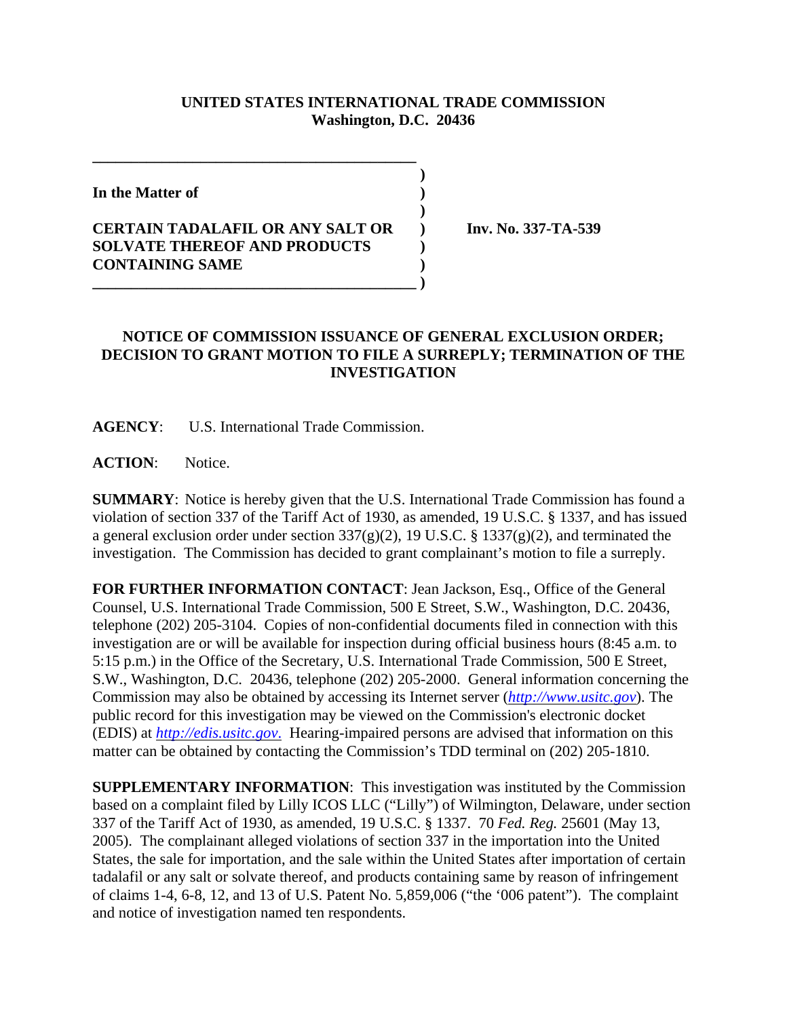## **UNITED STATES INTERNATIONAL TRADE COMMISSION Washington, D.C. 20436**

 **)**

 **)**

**In the Matter of )**

## **CERTAIN TADALAFIL OR ANY SALT OR ) Inv. No. 337-TA-539 SOLVATE THEREOF AND PRODUCTS ) CONTAINING SAME ) \_\_\_\_\_\_\_\_\_\_\_\_\_\_\_\_\_\_\_\_\_\_\_\_\_\_\_\_\_\_\_\_\_\_\_\_\_\_\_\_\_\_ )**

**\_\_\_\_\_\_\_\_\_\_\_\_\_\_\_\_\_\_\_\_\_\_\_\_\_\_\_\_\_\_\_\_\_\_\_\_\_\_\_\_\_\_**

## **NOTICE OF COMMISSION ISSUANCE OF GENERAL EXCLUSION ORDER; DECISION TO GRANT MOTION TO FILE A SURREPLY; TERMINATION OF THE INVESTIGATION**

**AGENCY**: U.S. International Trade Commission.

ACTION: Notice.

**SUMMARY**: Notice is hereby given that the U.S. International Trade Commission has found a violation of section 337 of the Tariff Act of 1930, as amended, 19 U.S.C. § 1337, and has issued a general exclusion order under section  $337(g)(2)$ , 19 U.S.C. § 1337(g)(2), and terminated the investigation. The Commission has decided to grant complainant's motion to file a surreply.

**FOR FURTHER INFORMATION CONTACT**: Jean Jackson, Esq., Office of the General Counsel, U.S. International Trade Commission, 500 E Street, S.W., Washington, D.C. 20436, telephone (202) 205-3104. Copies of non-confidential documents filed in connection with this investigation are or will be available for inspection during official business hours (8:45 a.m. to 5:15 p.m.) in the Office of the Secretary, U.S. International Trade Commission, 500 E Street, S.W., Washington, D.C. 20436, telephone (202) 205-2000. General information concerning the Commission may also be obtained by accessing its Internet server (*http://www.usitc.gov*). The public record for this investigation may be viewed on the Commission's electronic docket (EDIS) at *http://edis.usitc.gov*. Hearing-impaired persons are advised that information on this matter can be obtained by contacting the Commission's TDD terminal on (202) 205-1810.

**SUPPLEMENTARY INFORMATION**: This investigation was instituted by the Commission based on a complaint filed by Lilly ICOS LLC ("Lilly") of Wilmington, Delaware, under section 337 of the Tariff Act of 1930, as amended, 19 U.S.C. § 1337. 70 *Fed. Reg.* 25601 (May 13, 2005). The complainant alleged violations of section 337 in the importation into the United States, the sale for importation, and the sale within the United States after importation of certain tadalafil or any salt or solvate thereof, and products containing same by reason of infringement of claims 1-4, 6-8, 12, and 13 of U.S. Patent No. 5,859,006 ("the '006 patent"). The complaint and notice of investigation named ten respondents.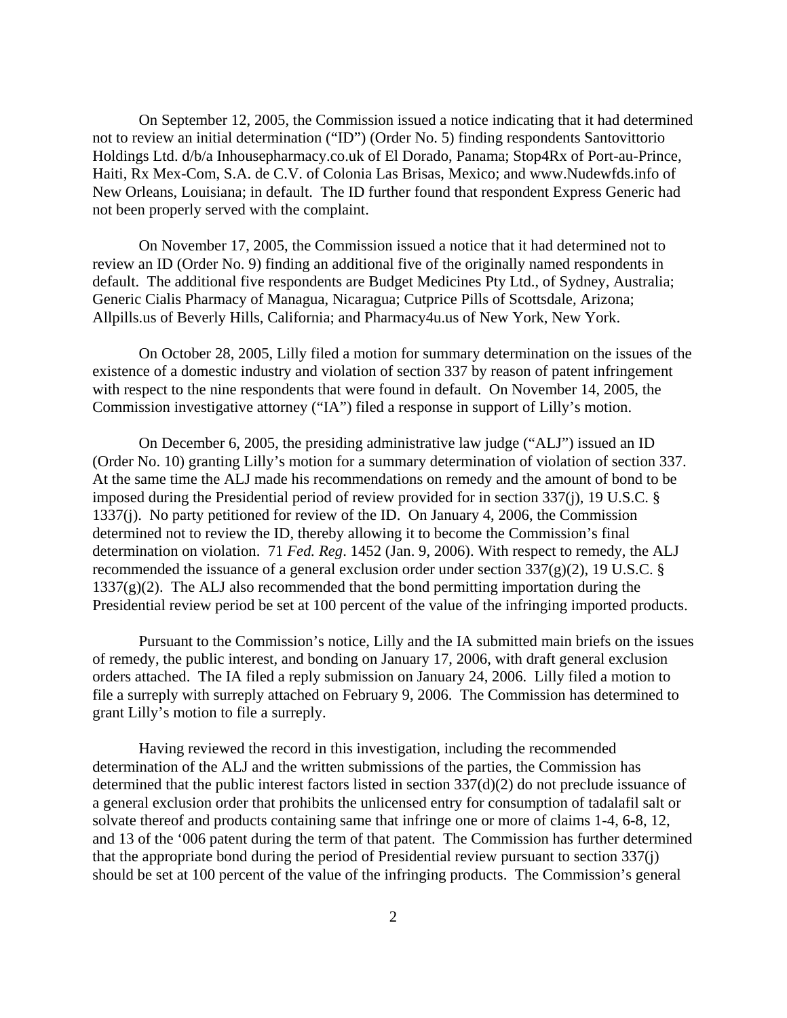On September 12, 2005, the Commission issued a notice indicating that it had determined not to review an initial determination ("ID") (Order No. 5) finding respondents Santovittorio Holdings Ltd. d/b/a Inhousepharmacy.co.uk of El Dorado, Panama; Stop4Rx of Port-au-Prince, Haiti, Rx Mex-Com, S.A. de C.V. of Colonia Las Brisas, Mexico; and www.Nudewfds.info of New Orleans, Louisiana; in default. The ID further found that respondent Express Generic had not been properly served with the complaint.

On November 17, 2005, the Commission issued a notice that it had determined not to review an ID (Order No. 9) finding an additional five of the originally named respondents in default. The additional five respondents are Budget Medicines Pty Ltd., of Sydney, Australia; Generic Cialis Pharmacy of Managua, Nicaragua; Cutprice Pills of Scottsdale, Arizona; Allpills.us of Beverly Hills, California; and Pharmacy4u.us of New York, New York.

On October 28, 2005, Lilly filed a motion for summary determination on the issues of the existence of a domestic industry and violation of section 337 by reason of patent infringement with respect to the nine respondents that were found in default. On November 14, 2005, the Commission investigative attorney ("IA") filed a response in support of Lilly's motion.

On December 6, 2005, the presiding administrative law judge ("ALJ") issued an ID (Order No. 10) granting Lilly's motion for a summary determination of violation of section 337. At the same time the ALJ made his recommendations on remedy and the amount of bond to be imposed during the Presidential period of review provided for in section 337(j), 19 U.S.C. § 1337(j). No party petitioned for review of the ID. On January 4, 2006, the Commission determined not to review the ID, thereby allowing it to become the Commission's final determination on violation. 71 *Fed. Reg*. 1452 (Jan. 9, 2006). With respect to remedy, the ALJ recommended the issuance of a general exclusion order under section  $337(g)(2)$ , 19 U.S.C. §  $1337(g)(2)$ . The ALJ also recommended that the bond permitting importation during the Presidential review period be set at 100 percent of the value of the infringing imported products.

Pursuant to the Commission's notice, Lilly and the IA submitted main briefs on the issues of remedy, the public interest, and bonding on January 17, 2006, with draft general exclusion orders attached. The IA filed a reply submission on January 24, 2006. Lilly filed a motion to file a surreply with surreply attached on February 9, 2006. The Commission has determined to grant Lilly's motion to file a surreply.

Having reviewed the record in this investigation, including the recommended determination of the ALJ and the written submissions of the parties, the Commission has determined that the public interest factors listed in section 337(d)(2) do not preclude issuance of a general exclusion order that prohibits the unlicensed entry for consumption of tadalafil salt or solvate thereof and products containing same that infringe one or more of claims 1-4, 6-8, 12, and 13 of the '006 patent during the term of that patent. The Commission has further determined that the appropriate bond during the period of Presidential review pursuant to section 337(j) should be set at 100 percent of the value of the infringing products. The Commission's general